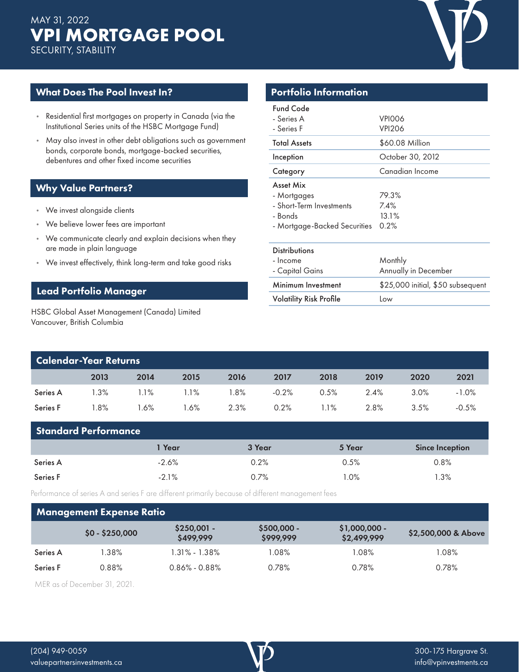# **VPI MORTGAGE POOL** MAY 31, 2022 SECURITY, STABILITY



## What Does The Pool Invest In?

- Residential first mortgages on property in Canada (via the Institutional Series units of the HSBC Mortgage Fund)
- May also invest in other debt obligations such as government bonds, corporate bonds, mortgage-backed securities, debentures and other fixed income securities

## Why Value Partners?

- We invest alongside clients
- We believe lower fees are important
- We communicate clearly and explain decisions when they are made in plain language
- We invest effectively, think long-term and take good risks

## Lead Portfolio Manager

HSBC Global Asset Management (Canada) Limited Vancouver, British Columbia

| <b>Portfolio Information</b>                                                                    |                                   |  |  |  |  |  |  |
|-------------------------------------------------------------------------------------------------|-----------------------------------|--|--|--|--|--|--|
| <b>Fund Code</b><br>- Series A<br>- Series F                                                    | VPIOO6<br><b>VPI206</b>           |  |  |  |  |  |  |
| <b>Total Assets</b>                                                                             | \$60.08 Million                   |  |  |  |  |  |  |
| Inception                                                                                       | October 30, 2012                  |  |  |  |  |  |  |
| Category                                                                                        | Canadian Income                   |  |  |  |  |  |  |
| Asset Mix<br>- Mortgages<br>- Short-Term Investments<br>- Bonds<br>- Mortgage-Backed Securities | 79.3%<br>7.4%<br>13.1%<br>0.2%    |  |  |  |  |  |  |
| <b>Distributions</b><br>- Income<br>- Capital Gains                                             | Monthly<br>Annually in December   |  |  |  |  |  |  |
| Minimum Investment                                                                              | \$25,000 initial, \$50 subsequent |  |  |  |  |  |  |
| <b>Volatility Risk Profile</b>                                                                  | Low                               |  |  |  |  |  |  |

| <b>Calendar-Year Returns</b> |         |         |         |        |         |      |      |         |          |  |
|------------------------------|---------|---------|---------|--------|---------|------|------|---------|----------|--|
|                              | 2013    | 2014    | 2015    | 2016   | 2017    | 2018 | 2019 | 2020    | 2021     |  |
| Series A                     | $1.3\%$ | $1.1\%$ | $1.1\%$ | $.8\%$ | $-0.2%$ | 0.5% | 2.4% | $3.0\%$ | $-1.0\%$ |  |
| Series F                     | l.8%    | $.6\%$  | 1.6%    | 2.3%   | 0.2%    | 1.1% | 2.8% | 3.5%    | $-0.5%$  |  |

| <b>Standard Performance</b> |          |        |        |                        |  |  |  |  |  |
|-----------------------------|----------|--------|--------|------------------------|--|--|--|--|--|
|                             | l Year   | 3 Year | 5 Year | <b>Since Inception</b> |  |  |  |  |  |
| Series A                    | -2.6%    | 0.2%   | 0.5%   | 0.8%                   |  |  |  |  |  |
| Series F                    | $-2.1\%$ | 0.7%   | $.0\%$ | .3%                    |  |  |  |  |  |

Performance of series A and series F are different primarily because of different management fees

#### $$0 - $250,000$   $$250,001$  -\$499,999 \$500,000 - \$999,999 \$1,000,000 - \$1,000,000 - \$2,500,000 & Above<br>\$2,499,999 Series A 1.38% 1.31% - 1.38% 1.08% 1.08% 1.08% Series F 0.88% 0.86% - 0.88% 0.78% 0.78% 0.78% Management Expense Ratio

MER as of December 31, 2021.